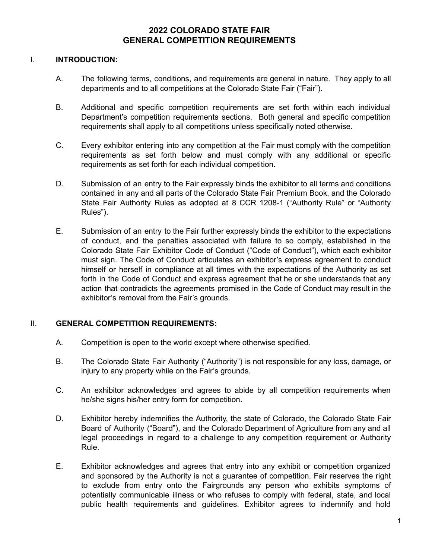# **2022 COLORADO STATE FAIR GENERAL COMPETITION REQUIREMENTS**

#### I. **INTRODUCTION:**

- A. The following terms, conditions, and requirements are general in nature. They apply to all departments and to all competitions at the Colorado State Fair ("Fair").
- B. Additional and specific competition requirements are set forth within each individual Department's competition requirements sections. Both general and specific competition requirements shall apply to all competitions unless specifically noted otherwise.
- C. Every exhibitor entering into any competition at the Fair must comply with the competition requirements as set forth below and must comply with any additional or specific requirements as set forth for each individual competition.
- D. Submission of an entry to the Fair expressly binds the exhibitor to all terms and conditions contained in any and all parts of the Colorado State Fair Premium Book, and the Colorado State Fair Authority Rules as adopted at 8 CCR 1208-1 ("Authority Rule" or "Authority Rules").
- E. Submission of an entry to the Fair further expressly binds the exhibitor to the expectations of conduct, and the penalties associated with failure to so comply, established in the Colorado State Fair Exhibitor Code of Conduct ("Code of Conduct"), which each exhibitor must sign. The Code of Conduct articulates an exhibitor's express agreement to conduct himself or herself in compliance at all times with the expectations of the Authority as set forth in the Code of Conduct and express agreement that he or she understands that any action that contradicts the agreements promised in the Code of Conduct may result in the exhibitor's removal from the Fair's grounds.

## II. **GENERAL COMPETITION REQUIREMENTS:**

- A. Competition is open to the world except where otherwise specified.
- B. The Colorado State Fair Authority ("Authority") is not responsible for any loss, damage, or injury to any property while on the Fair's grounds.
- C. An exhibitor acknowledges and agrees to abide by all competition requirements when he/she signs his/her entry form for competition.
- D. Exhibitor hereby indemnifies the Authority, the state of Colorado, the Colorado State Fair Board of Authority ("Board"), and the Colorado Department of Agriculture from any and all legal proceedings in regard to a challenge to any competition requirement or Authority Rule.
- E. Exhibitor acknowledges and agrees that entry into any exhibit or competition organized and sponsored by the Authority is not a guarantee of competition. Fair reserves the right to exclude from entry onto the Fairgrounds any person who exhibits symptoms of potentially communicable illness or who refuses to comply with federal, state, and local public health requirements and guidelines. Exhibitor agrees to indemnify and hold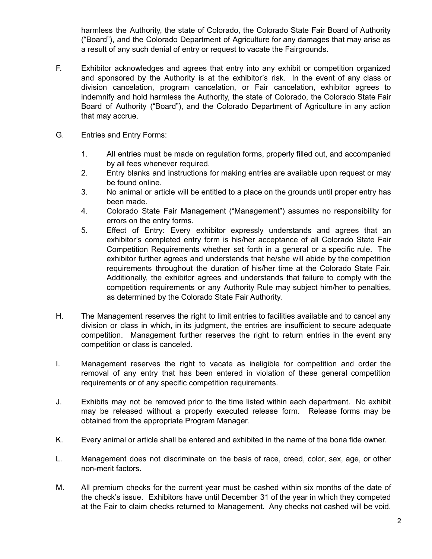harmless the Authority, the state of Colorado, the Colorado State Fair Board of Authority ("Board"), and the Colorado Department of Agriculture for any damages that may arise as a result of any such denial of entry or request to vacate the Fairgrounds.

- F. Exhibitor acknowledges and agrees that entry into any exhibit or competition organized and sponsored by the Authority is at the exhibitor's risk. In the event of any class or division cancelation, program cancelation, or Fair cancelation, exhibitor agrees to indemnify and hold harmless the Authority, the state of Colorado, the Colorado State Fair Board of Authority ("Board"), and the Colorado Department of Agriculture in any action that may accrue.
- G. Entries and Entry Forms:
	- 1. All entries must be made on regulation forms, properly filled out, and accompanied by all fees whenever required.
	- 2. Entry blanks and instructions for making entries are available upon request or may be found online.
	- 3. No animal or article will be entitled to a place on the grounds until proper entry has been made.
	- 4. Colorado State Fair Management ("Management") assumes no responsibility for errors on the entry forms.
	- 5. Effect of Entry: Every exhibitor expressly understands and agrees that an exhibitor's completed entry form is his/her acceptance of all Colorado State Fair Competition Requirements whether set forth in a general or a specific rule. The exhibitor further agrees and understands that he/she will abide by the competition requirements throughout the duration of his/her time at the Colorado State Fair. Additionally, the exhibitor agrees and understands that failure to comply with the competition requirements or any Authority Rule may subject him/her to penalties, as determined by the Colorado State Fair Authority.
- H. The Management reserves the right to limit entries to facilities available and to cancel any division or class in which, in its judgment, the entries are insufficient to secure adequate competition. Management further reserves the right to return entries in the event any competition or class is canceled.
- I. Management reserves the right to vacate as ineligible for competition and order the removal of any entry that has been entered in violation of these general competition requirements or of any specific competition requirements.
- J. Exhibits may not be removed prior to the time listed within each department. No exhibit may be released without a properly executed release form. Release forms may be obtained from the appropriate Program Manager.
- K. Every animal or article shall be entered and exhibited in the name of the bona fide owner.
- L. Management does not discriminate on the basis of race, creed, color, sex, age, or other non-merit factors.
- M. All premium checks for the current year must be cashed within six months of the date of the check's issue. Exhibitors have until December 31 of the year in which they competed at the Fair to claim checks returned to Management. Any checks not cashed will be void.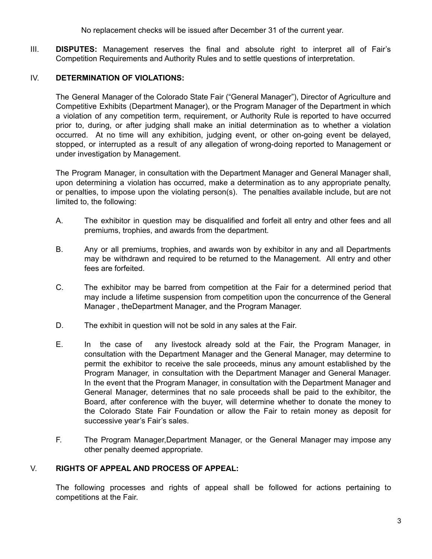No replacement checks will be issued after December 31 of the current year.

III. **DISPUTES:** Management reserves the final and absolute right to interpret all of Fair's Competition Requirements and Authority Rules and to settle questions of interpretation.

#### IV. **DETERMINATION OF VIOLATIONS:**

The General Manager of the Colorado State Fair ("General Manager"), Director of Agriculture and Competitive Exhibits (Department Manager), or the Program Manager of the Department in which a violation of any competition term, requirement, or Authority Rule is reported to have occurred prior to, during, or after judging shall make an initial determination as to whether a violation occurred. At no time will any exhibition, judging event, or other on-going event be delayed, stopped, or interrupted as a result of any allegation of wrong-doing reported to Management or under investigation by Management.

The Program Manager, in consultation with the Department Manager and General Manager shall, upon determining a violation has occurred, make a determination as to any appropriate penalty, or penalties, to impose upon the violating person(s). The penalties available include, but are not limited to, the following:

- A. The exhibitor in question may be disqualified and forfeit all entry and other fees and all premiums, trophies, and awards from the department.
- B. Any or all premiums, trophies, and awards won by exhibitor in any and all Departments may be withdrawn and required to be returned to the Management. All entry and other fees are forfeited.
- C. The exhibitor may be barred from competition at the Fair for a determined period that may include a lifetime suspension from competition upon the concurrence of the General Manager , theDepartment Manager, and the Program Manager.
- D. The exhibit in question will not be sold in any sales at the Fair.
- E. In the case of any livestock already sold at the Fair, the Program Manager, in consultation with the Department Manager and the General Manager, may determine to permit the exhibitor to receive the sale proceeds, minus any amount established by the Program Manager, in consultation with the Department Manager and General Manager. In the event that the Program Manager, in consultation with the Department Manager and General Manager, determines that no sale proceeds shall be paid to the exhibitor, the Board, after conference with the buyer, will determine whether to donate the money to the Colorado State Fair Foundation or allow the Fair to retain money as deposit for successive year's Fair's sales.
- F. The Program Manager,Department Manager, or the General Manager may impose any other penalty deemed appropriate.

## V. **RIGHTS OF APPEAL AND PROCESS OF APPEAL:**

The following processes and rights of appeal shall be followed for actions pertaining to competitions at the Fair.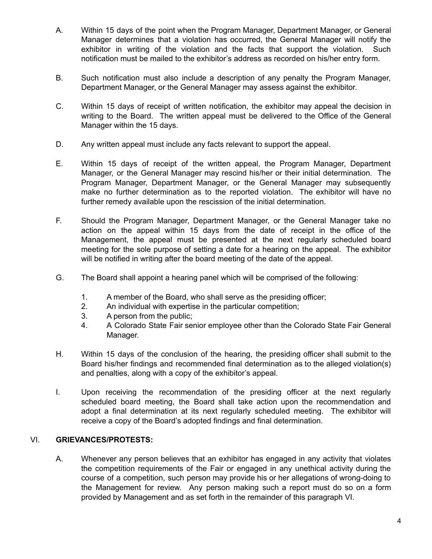- A. Within 15 days of the point when the Program Manager, Department Manager, or General Manager determines that a violation has occurred, the General Manager will notify the exhibitor in writing of the violation and the facts that support the violation. Such notification must be mailed to the exhibitor's address as recorded on his/her entry form.
- B. Such notification must also include a description of any penalty the Program Manager, Department Manager, or the General Manager may assess against the exhibitor.
- C. Within 15 days of receipt of written notification, the exhibitor may appeal the decision in writing to the Board. The written appeal must be delivered to the Office of the General Manager within the 15 days.
- D. Any written appeal must include any facts relevant to support the appeal.
- E. Within 15 days of receipt of the written appeal, the Program Manager, Department Manager, or the General Manager may rescind his/her or their initial determination. The Program Manager, Department Manager, or the General Manager may subsequently make no further determination as to the reported violation. The exhibitor will have no further remedy available upon the rescission of the initial determination.
- F. Should the Program Manager, Department Manager, or the General Manager take no action on the appeal within 15 days from the date of receipt in the office of the Management, the appeal must be presented at the next regularly scheduled board meeting for the sole purpose of setting a date for a hearing on the appeal. The exhibitor will be notified in writing after the board meeting of the date of the appeal.
- G. The Board shall appoint a hearing panel which will be comprised of the following:
	- 1. A member of the Board, who shall serve as the presiding officer;
	- 2. An individual with expertise in the particular competition;
	- 3. A person from the public;
	- 4. A Colorado State Fair senior employee other than the Colorado State Fair General Manager.
- H. Within 15 days of the conclusion of the hearing, the presiding officer shall submit to the Board his/her findings and recommended final determination as to the alleged violation(s) and penalties, along with a copy of the exhibitor's appeal.
- I. Upon receiving the recommendation of the presiding officer at the next regularly scheduled board meeting, the Board shall take action upon the recommendation and adopt a final determination at its next regularly scheduled meeting. The exhibitor will receive a copy of the Board's adopted findings and final determination.

## VI. **GRIEVANCES/PROTESTS:**

A. Whenever any person believes that an exhibitor has engaged in any activity that violates the competition requirements of the Fair or engaged in any unethical activity during the course of a competition, such person may provide his or her allegations of wrong-doing to the Management for review. Any person making such a report must do so on a form provided by Management and as set forth in the remainder of this paragraph VI.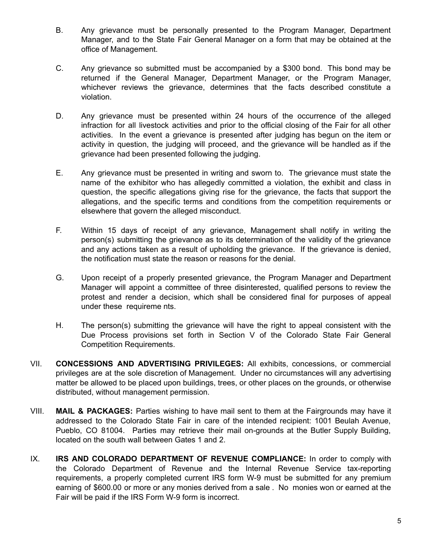- B. Any grievance must be personally presented to the Program Manager, Department Manager, and to the State Fair General Manager on a form that may be obtained at the office of Management.
- C. Any grievance so submitted must be accompanied by a \$300 bond. This bond may be returned if the General Manager, Department Manager, or the Program Manager, whichever reviews the grievance, determines that the facts described constitute a violation.
- D. Any grievance must be presented within 24 hours of the occurrence of the alleged infraction for all livestock activities and prior to the official closing of the Fair for all other activities. In the event a grievance is presented after judging has begun on the item or activity in question, the judging will proceed, and the grievance will be handled as if the grievance had been presented following the judging.
- E. Any grievance must be presented in writing and sworn to. The grievance must state the name of the exhibitor who has allegedly committed a violation, the exhibit and class in question, the specific allegations giving rise for the grievance, the facts that support the allegations, and the specific terms and conditions from the competition requirements or elsewhere that govern the alleged misconduct.
- F. Within 15 days of receipt of any grievance, Management shall notify in writing the person(s) submitting the grievance as to its determination of the validity of the grievance and any actions taken as a result of upholding the grievance. If the grievance is denied, the notification must state the reason or reasons for the denial.
- G. Upon receipt of a properly presented grievance, the Program Manager and Department Manager will appoint a committee of three disinterested, qualified persons to review the protest and render a decision, which shall be considered final for purposes of appeal under these requireme nts.
- H. The person(s) submitting the grievance will have the right to appeal consistent with the Due Process provisions set forth in Section V of the Colorado State Fair General Competition Requirements.
- VII. **CONCESSIONS AND ADVERTISING PRIVILEGES:** All exhibits, concessions, or commercial privileges are at the sole discretion of Management. Under no circumstances will any advertising matter be allowed to be placed upon buildings, trees, or other places on the grounds, or otherwise distributed, without management permission.
- VIII. **MAIL & PACKAGES:** Parties wishing to have mail sent to them at the Fairgrounds may have it addressed to the Colorado State Fair in care of the intended recipient: 1001 Beulah Avenue, Pueblo, CO 81004. Parties may retrieve their mail on-grounds at the Butler Supply Building, located on the south wall between Gates 1 and 2.
- IX. **IRS AND COLORADO DEPARTMENT OF REVENUE COMPLIANCE:** In order to comply with the Colorado Department of Revenue and the Internal Revenue Service tax-reporting requirements, a properly completed current IRS form W-9 must be submitted for any premium earning of \$600.00 or more or any monies derived from a sale . No monies won or earned at the Fair will be paid if the IRS Form W-9 form is incorrect.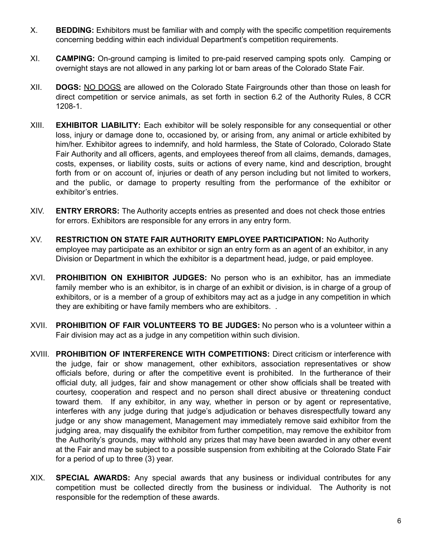- X. **BEDDING:** Exhibitors must be familiar with and comply with the specific competition requirements concerning bedding within each individual Department's competition requirements.
- XI. **CAMPING:** On-ground camping is limited to pre-paid reserved camping spots only. Camping or overnight stays are not allowed in any parking lot or barn areas of the Colorado State Fair.
- XII. **DOGS:** NO DOGS are allowed on the Colorado State Fairgrounds other than those on leash for direct competition or service animals, as set forth in section 6.2 of the Authority Rules, 8 CCR 1208-1.
- XIII. **EXHIBITOR LIABILITY:** Each exhibitor will be solely responsible for any consequential or other loss, injury or damage done to, occasioned by, or arising from, any animal or article exhibited by him/her. Exhibitor agrees to indemnify, and hold harmless, the State of Colorado, Colorado State Fair Authority and all officers, agents, and employees thereof from all claims, demands, damages, costs, expenses, or liability costs, suits or actions of every name, kind and description, brought forth from or on account of, injuries or death of any person including but not limited to workers, and the public, or damage to property resulting from the performance of the exhibitor or exhibitor's entries.
- XIV. **ENTRY ERRORS:** The Authority accepts entries as presented and does not check those entries for errors. Exhibitors are responsible for any errors in any entry form.
- XV. **RESTRICTION ON STATE FAIR AUTHORITY EMPLOYEE PARTICIPATION:** No Authority employee may participate as an exhibitor or sign an entry form as an agent of an exhibitor, in any Division or Department in which the exhibitor is a department head, judge, or paid employee.
- XVI. **PROHIBITION ON EXHIBITOR JUDGES:** No person who is an exhibitor, has an immediate family member who is an exhibitor, is in charge of an exhibit or division, is in charge of a group of exhibitors, or is a member of a group of exhibitors may act as a judge in any competition in which they are exhibiting or have family members who are exhibitors. .
- XVII. **PROHIBITION OF FAIR VOLUNTEERS TO BE JUDGES:** No person who is a volunteer within a Fair division may act as a judge in any competition within such division.
- XVIII. **PROHIBITION OF INTERFERENCE WITH COMPETITIONS:** Direct criticism or interference with the judge, fair or show management, other exhibitors, association representatives or show officials before, during or after the competitive event is prohibited. In the furtherance of their official duty, all judges, fair and show management or other show officials shall be treated with courtesy, cooperation and respect and no person shall direct abusive or threatening conduct toward them. If any exhibitor, in any way, whether in person or by agent or representative, interferes with any judge during that judge's adjudication or behaves disrespectfully toward any judge or any show management, Management may immediately remove said exhibitor from the judging area, may disqualify the exhibitor from further competition, may remove the exhibitor from the Authority's grounds, may withhold any prizes that may have been awarded in any other event at the Fair and may be subject to a possible suspension from exhibiting at the Colorado State Fair for a period of up to three (3) year.
- XIX. **SPECIAL AWARDS:** Any special awards that any business or individual contributes for any competition must be collected directly from the business or individual. The Authority is not responsible for the redemption of these awards.